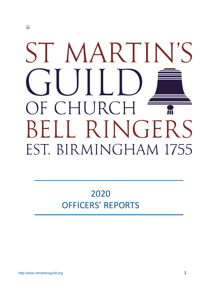# ST MARTIN'S  $\mathcal{L}$ JF CHURCH BELL RINGERS EST. BIRMINGHAM 1755

# 2020 OFFICERS' REPORTS

 $\frac{1}{2}$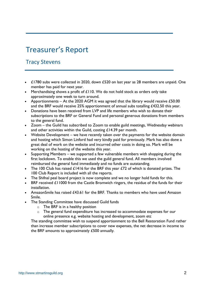# Treasurer's Report

## Tracy Stevens

- £1780 subs were collected in 2020, down £520 on last year as 28 members are unpaid. One member has paid for next year.
- Merchandising shows a profit of £110. We do not hold stock as orders only take approximately one week to turn around.
- Apportionments At the 2020 AGM it was agreed that the library would receive  $£50.00$ and the BRF would receive 25% apportionment of annual subs totalling £432.50 this year.
- Donations have been received from LVP and life members who wish to donate their subscriptions to the BRF or General Fund and personal generous donations from members to the general fund.
- Zoom the Guild has subscribed to Zoom to enable guild meetings, Wednesday webinars and other activities within the Guild, costing £14.39 per month.
- Website Development we have recently taken over the payments for the website domain and hosting which Simon Linford had very kindly paid for previously. Mark has also done a great deal of work on the website and incurred other costs in doing so. Mark will be working on the hosting of the website this year.
- Supporting Members we supported a few vulnerable members with shopping during the first lockdown. To enable this we used the guild general fund. All members involved reimbursed the general fund immediately and no funds are outstanding.
- The 100 Club has raised  $£1416$  for the BRF this year  $£72$  of which is donated prizes. The 100 Club Report is included with all the reports.
- The Shifnal peal board project is now complete and we no longer hold funds for this.
- BRF received £11000 from the Castle Bromwich ringers, the residue of the funds for their installation.
- AmazonSmile has raised £43.61 for the BRF. Thanks to members who have used Amazon Smile.
- The Standing Committee have discussed Guild funds
	- $\circ$  The BRF is in a healthy position
	- o The general fund expenditure has increased to accommodate expenses for our online presence e.g. website hosting and development, zoom etc

The standing committee wish to suspend apportionment to the Bell Restoration Fund rather than increase member subscriptions to cover new expenses, the net decrease in income to the BRF amounts to approximately £500 annually.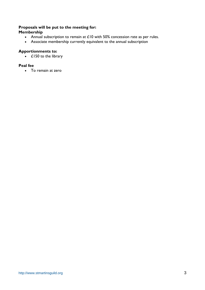#### **Proposals will be put to the meeting for: Membership**

- Annual subscription to remain at £10 with 50% concession rate as per rules.
- Associate membership currently equivalent to the annual subscription

## **Apportionments to:**

• £150 to the library

#### **Peal fee**

• To remain at zero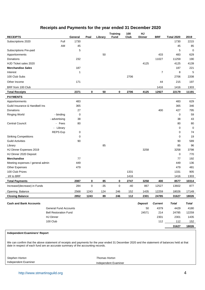## **Receipts and Payments for the year ended 31 December 2020**

| <b>RECEIPTS</b>                  |                              | General | Peal      | Library | <b>Training</b><br><b>Fund</b> | 100<br>Club | HJ<br>Dinner | <b>BRF</b>     | <b>Total 2020</b> | 2019         |
|----------------------------------|------------------------------|---------|-----------|---------|--------------------------------|-------------|--------------|----------------|-------------------|--------------|
| Subscriptions 2020               | Full                         | 1730    |           |         |                                |             |              |                | 1730              | 2215         |
|                                  | AM                           | 45      |           |         |                                |             |              |                | 45                | 85           |
| Subscriptions Pre-paid           |                              | 5       |           |         |                                |             |              |                | 5                 | 0            |
| Apportionments                   |                              |         |           | 50      |                                |             |              | 433            | 483               | 629          |
| Donations                        |                              | 232     |           |         |                                |             |              | 11027          | 11259             | 190          |
| HJD Ticket sales 2020            |                              |         |           |         |                                |             | 4125         |                | 4125              | 4139         |
| <b>Merchandise Sales</b>         |                              | 187     |           |         |                                |             |              |                | 187               | 221          |
| Interest                         |                              | 1       |           |         |                                |             |              | 7              | 8                 | 5            |
| 100 Club Subs                    |                              |         |           |         |                                | 2706        |              |                | 2706              | 2208         |
| Other Income                     |                              | 171     |           |         |                                |             |              | 44             | 215               | 197          |
| BRF from 100 Club                |                              |         |           |         |                                |             |              | 1416           | 1416              | 1303         |
| <b>Total Receipts</b>            |                              | 2371    | 0         | 50      | 0                              | 2706        | 4125         | 12927          | 22179             | 11191        |
| <b>PAYMENTS</b>                  |                              |         |           |         |                                |             |              |                |                   |              |
| Apportionments                   |                              | 483     |           |         |                                |             |              |                | 483               | 629          |
| Guild Insurance & Handbell Ins   |                              | 365     |           |         |                                |             |              |                | 365               | 346          |
| Donations                        |                              | 27      |           |         |                                |             |              | 400            | 427               | 795          |
| <b>Ringing World</b>             | - binding                    | 0       |           |         |                                |             |              |                | 0                 | 59           |
|                                  | - advertising                | 38      |           |         |                                |             |              |                | 38                | 43           |
| Central Council:                 | - Fees                       | 80      |           |         |                                |             |              |                | 80                | 80           |
|                                  | - Library                    |         |           |         |                                |             |              |                | 0                 | $\mathbf 0$  |
|                                  | <b>REPS Exp</b>              | 0       |           |         |                                |             |              |                | 0                 | 74           |
| <b>Striking Competitions</b>     |                              | 0       |           |         |                                |             |              |                | 0                 | 19           |
| <b>Guild Activities</b>          |                              | 90      |           |         |                                |             |              |                | 90                | 589          |
| Library                          |                              |         |           | 85      |                                |             |              |                | 85                | 96           |
| HJ Dinner Expenses 2019          |                              |         |           |         |                                |             | 3258         |                | 3258              | 3798         |
| HJ Dinner 2020 Deposit           |                              |         |           |         |                                |             |              |                | $\mathbf 0$       | 770          |
| <b>Merchandise</b>               |                              | 77      |           |         |                                |             |              |                | 77                | 192          |
| Meeting expenses / general admin |                              | 449     |           |         |                                |             |              |                | 449               | 136          |
| <b>Other Expenses</b>            |                              | 479     |           |         |                                |             |              |                | 479               | 481          |
| 100 Club Prizes                  |                              |         |           |         |                                | 1331        |              |                | 1331              | 905          |
| trfr to BRF                      |                              |         |           |         |                                | 1416        |              |                | 1416              | 1303         |
| <b>Total Payments</b>            |                              | 2087    | 0         | 85      | 0                              | 2747        | 3258         | 400            | 8577              | 10314        |
| Increase/(decrease) in Funds     |                              | 284     | $\pmb{0}$ | $-35$   | 0                              | $-40$       | 867          | 12527          | 13602             | 877          |
| Opening Balance                  |                              | 2568    | 1243      | 124     | 246                            | 152         | 1435         | 12259          | 18026             | 17149        |
| <b>Closing Balance</b>           |                              | 2852    | 1243      | 89      | 246                            | 112         | 2301         | 24785          | 31627             | 18026        |
| <b>Cash and Bank Accounts</b>    |                              |         |           |         |                                |             | Deposit      | <b>Current</b> | <b>Total</b>      | <b>Total</b> |
|                                  | <b>General Fund Accounts</b> |         |           |         |                                |             | 50           | 4379           | 4429              | 4180         |
|                                  | <b>Bell Restoration Fund</b> |         |           |         |                                |             | 24571        | 214            | 24785             | 12259        |
|                                  | <b>HJ Dinner</b>             |         |           |         |                                |             |              | 2301           | 2301              | 1435         |
|                                  | 100 Club                     |         |           |         |                                |             |              | 112            | $112$             | 152          |
|                                  |                              |         |           |         |                                |             |              |                | 31627             | 18026        |

#### **Independent Examiners' Report**

We can confirm that the above statement of receipts and payments for the year ended 31 December 2020 and the statement of balances held at that date in respect of each fund are an accurate summary of the accounting records.

*Stephen Horton Thomas Horton*

Independent Examiner Independent Examiner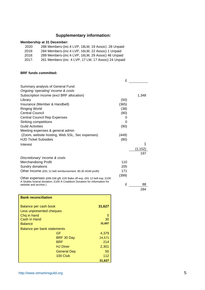## **Supplementary information:**

## **Membership at 31 December:**

| 2020  | 288 Members-(inc:4 LVP, 18LM, 19 Assoc) 28 Unpaid   |
|-------|-----------------------------------------------------|
| 2019: | 284 Members-(inc: 4 LVP, 16LM, 22 Assoc) 1 Unpaid   |
| 2018: | 289 Members-(inc:4 LVP, 16LM, 29 Assoc) 46 Unpaid   |
| 2017: | 261 Members-(inc: 4 LVP, 17 LM, 17 Assoc) 24 Unpaid |

#### **BRF funds committed:**

|                                                                                                                                                 | £     |          |
|-------------------------------------------------------------------------------------------------------------------------------------------------|-------|----------|
| Summary analysis of General Fund:                                                                                                               |       |          |
| Ongoing 'operating' income & costs                                                                                                              |       |          |
| Subscription income (excl BRF allocation)                                                                                                       |       | 1,348    |
| Library                                                                                                                                         | (50)  |          |
| Insurance (Member & Handbell)                                                                                                                   | (365) |          |
| <b>Ringing World</b>                                                                                                                            | (38)  |          |
| <b>Central Council</b>                                                                                                                          | (80)  |          |
| <b>Central Council Rep Expenses</b>                                                                                                             | O     |          |
| Striking competitions                                                                                                                           | 0     |          |
| <b>Guild Activities</b>                                                                                                                         | (90)  |          |
| Meeting expenses & general admin                                                                                                                |       |          |
| (Zoom, website hosting, Web SSL, Sec expenses)                                                                                                  | (449) |          |
| <b>HJD Ticket Subsidies</b>                                                                                                                     | (80)  |          |
| Interest                                                                                                                                        |       | 1        |
|                                                                                                                                                 |       | (1, 152) |
|                                                                                                                                                 |       | 197      |
| Discretionary' income & costs                                                                                                                   |       |          |
| <b>Merchandising Profit</b>                                                                                                                     | 110   |          |
| Sundry donations                                                                                                                                | 205   |          |
| Other Income (£91 12 bell reimbursement, 80.30 AGM profit)                                                                                      | 171   |          |
|                                                                                                                                                 | (399) |          |
| Other expenses (£88 GM gift, £20 Bake off exp, £91 12 bell exp, £100<br>A Stubbs funeral donation, £100 A Craddock Donation for information for |       |          |
| website and archive.)                                                                                                                           | £     | 88       |
|                                                                                                                                                 |       | 284      |

| <b>Bank reconciliation</b>  |                    |        |
|-----------------------------|--------------------|--------|
| Balance per cash book       |                    | 31,627 |
| Less unpresented cheques    |                    |        |
| Chq in hand                 |                    | 0      |
| Cash in Hand                |                    | 30     |
| <b>Balance</b>              |                    | 31,657 |
| Balance per bank statements |                    |        |
|                             | GF                 | 4,379  |
|                             | BRF 30 Day         | 24,571 |
|                             | BRF                | 214    |
|                             | <b>HJ Diner</b>    | 2,301  |
|                             | <b>General Dep</b> | 50     |
|                             | 100 Club           | 112    |
|                             |                    | 31,627 |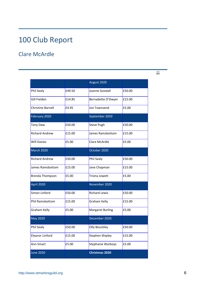# 100 Club Report

## Clare McArdle

|                          |        | August 2020             |        |
|--------------------------|--------|-------------------------|--------|
| Phil Sealy               | £49.50 | Joanne Goodall          | £50.00 |
| Gill Fielden             | £14.85 | Bernadette O'Dwyer      | £15.00 |
| <b>Christine Barnell</b> | £4.95  | Jon Townsend            | £5.00  |
| February 2020            |        | September 2020          |        |
| <b>Tony Daw</b>          | £50.00 | <b>Steve Pugh</b>       | £50.00 |
| <b>Richard Andrew</b>    | £15.00 | James Ramsbottom        | £15.00 |
| <b>Will Davies</b>       | £5.00  | Clare McArdle           | £5.00  |
| <b>March 2020</b>        |        | October 2020            |        |
| <b>Richard Andrew</b>    | £50.00 | Phil Sealy              | £50.00 |
| James Ramsbottom         | £15.00 | Jane Chapman            | £15.00 |
| <b>Brenda Thompson</b>   | £5.00  | Triona Jowett           | £5.00  |
| April 2020               |        | November 2020           |        |
| Simon Linford            | £50.00 | <b>Richard Lewis</b>    | £50.00 |
| <b>Phil Ramsbottom</b>   | £15.00 | Graham Kelly            | £15.00 |
| Graham Kelly             | £5.00  | <b>Margaret Burling</b> | £5.00  |
| <b>May 2020</b>          |        | December 2020           |        |
| Phil Sealy               | £50.00 | <b>Olly Bouckley</b>    | £50.00 |
| Eleanor Linford          | £15.00 | Stephen Shipley         | £15.00 |
| Ann Smart                | £5.00  | Stephanie Warboys       | £5.00  |
| <b>June 2020</b>         |        | <b>Christmas 2020</b>   |        |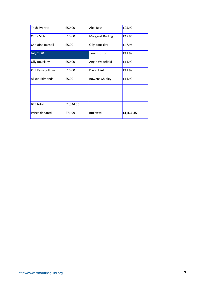| Prizes donated           | £71.99    | <b>BRF</b> total        | £1,416.35 |
|--------------------------|-----------|-------------------------|-----------|
| <b>BRF</b> total         | £1,344.36 |                         |           |
|                          |           |                         |           |
|                          |           |                         |           |
| Alison Edmonds           | £5.00     | Rowena Shipley          | £11.99    |
| <b>Phil Ramsbottom</b>   | £15.00    | David Flint             | £11.99    |
| Olly Bouckley            | £50.00    | Angie Wakefield         | £11.99    |
| <b>July 2020</b>         |           | Janet Horton            | £11.99    |
| <b>Christine Barnell</b> | £5.00     | Olly Bouckley           | £47.96    |
| Chris Mills              | £15.00    | <b>Margaret Burling</b> | £47.96    |
| <b>Trish Everett</b>     | £50.00    | <b>Alex Ross</b>        | £95.92    |
|                          |           |                         |           |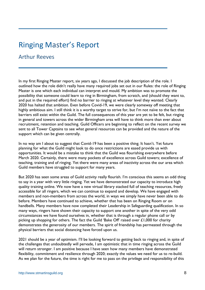## Ringing Master's Report

## Arthur Reeves

In my first Ringing Master report, six years ago, I discussed the job description of the role. I outlined how the role didn't really have many required jobs set out in our Rules: the role of Ringing Master is one which each individual can interpret and mould. My ambition was to promote the possibility that someone could learn to ring in Birmingham, from scratch, and (should they want to, and put in the required effort) find no barrier to ringing at whatever level they wanted. Clearly 2020 has halted that ambition. Even before Covid-19, we were clearly someway off meeting that highly ambitious aim. I still think it is a worthy target to strive for, but I'm not naïve to the fact that barriers still exist within the Guild. The full consequences of this year are yet to be felt, but ringing in general and towers across the wider Birmingham area will have to think more than ever about recruitment, retention and teaching. Guild Officers are beginning to reflect on the recent survey we sent to all Tower Captains to see what general resources can be provided and the nature of the support which can be given centrally.

In no way am I about to suggest that Covid-19 has been a positive thing. It hasn't. Yet future planning for what the Guild might look to do once restrictions are eased provide us with opportunities. It would be a mistake to think that the Guild was flourishing everywhere before March 2020. Certainly, there were many pockets of excellence across Guild towers; excellence of teaching, training and of ringing. Yet there were many areas of inactivity across the our area which Guild members have struggled to support for many years.

But 2020 has seen some areas of Guild activity really flourish. I'm conscious this seems an odd thing to say in a year with very little ringing. Yet we have demonstrated our capacity to introduce high quality training online. We now have a new virtual library stacked full of teaching resources, freely accessible for all ringers, which we can continue to expand and develop. We have engaged with members and non-members from across the world, in ways we simply have never been able to do before. Members have continued to achieve, whether that has been on Ringing Room or on handbells. Many members have now completed their Leadership in Safeguarding qualification. In so many ways, ringers have shown their capacity to support one another in spite of the very odd circumstances we have found ourselves in, whether that is through a regular phone call or by picking up shopping for others. The fact the Guild 'Bake Off' raised over £1,000 for charity demonstrates the generosity of our members. The spirit of friendship has permeated through the physical barriers that social distancing have forced upon us.

2021 should be a year of optimism. I'll be looking forward to getting back to ringing and, in spite of the challenges that undoubtedly will pervade, I am optimistic that in time ringing across the Guild will return stronger. I am positive because I have seen how many members have demonstrated flexibility, commitment and resilience through 2020; exactly the values we need for us to re-build. As we plan for the future, the time is right for me to pass on the privilege and responsibility of this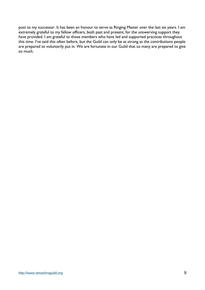post to my successor. It has been an honour to serve as Ringing Master over the last six years. I am extremely grateful to my fellow officers, both past and present, for the unswerving support they have provided. I am grateful to those members who have led and supported practices throughout this time. I've said this often before, but the Guild can only be as strong as the contributions people are prepared to voluntarily put in. We are fortunate in our Guild that so many are prepared to give so much.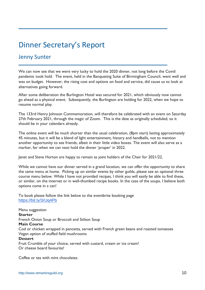# Dinner Secretary's Report

## Jenny Sunter

We can now see that we were very lucky to hold the 2020 dinner, not long before the Covid pandemic took hold. The event, held in the Banqueting Suite of Birmingham Council, went well and was on budget. However, the rising cost and options on food and service, did cause us to look at alternatives going forward.

After some deliberation the Burlington Hotel was secured for 2021, which obviously now cannot go ahead as a physical event. Subsequently, the Burlington are holding for 2022, when we hope to resume normal play.

The 133rd Henry Johnson Commemoration, will therefore be celebrated with an event on Saturday 27th February 2021, through the magic of Zoom. This is the date as originally scheduled, so it should be in your calendars already.

The online event will be much shorter than the usual celebration, (8pm start) lasting approximately 45 minutes, but it will be a blend of light entertainment, history and handbells, not to mention another opportunity to see friends, albeit in their little video boxes. The event will also serve as a marker, for when we can next hold the dinner 'proper' in 2022.

Janet and Steve Horton are happy to remain as joint holders of the Chair for 2021/22.

While we cannot have our dinner served in a grand location, we can offer the opportunity to share the same menu at home. Picking up on similar events by other guilds, please see an optional three course menu below. While I have not provided recipes, I think you will easily be able to find these, or similar, on the internet or in well-thumbed recipe books. In the case of the soups, I believe both options come in a can!

To book please follow the link below to the eventbrite booking page <https://bit.ly/3rUq4Pb>

Menu suggestion **Starter** French Onion Soup or Broccoli and Stilton Soup **Main Course** Cod or chicken wrapped in pancetta, served with French green beans and roasted tomatoes Vegan option of stuffed field mushrooms **Dessert** Fruit Crumble of your choice, served with custard, cream or ice cream! Or cheese board favourite!

Coffee or tea with mint chocolates.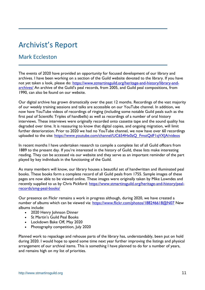# Archivist's Report

## Mark Eccleston

The events of 2020 have provided an opportunity for focused development of our library and archives. I have been working on a section of the Guild website devoted to the library. If you have not yet taken a look, please do: [https://www.stmartinsguild.org/heritage-and-history/library-and](https://www.stmartinsguild.org/heritage-and-history/library-and-archives/)[archives/](https://www.stmartinsguild.org/heritage-and-history/library-and-archives/) An archive of the Guild's peal records, from 2005, and Guild peal compositions, from 1990, can also be found on our website.

Our digital archive has grown dramatically over the past 12 months. Recordings of the vast majority of our weekly training sessions and talks are accessible on our YouTube channel. In addition, we now have YouTube videos of recordings of ringing (including some notable Guild peals such as the first peal of Scientific Triples of handbells) as well as recordings of a number of oral history interviews. These interviews were originally recorded onto cassette tape and the sound quality has degraded over time. It is reassuring to know that digital copies, and ongoing migration, will limit further deterioration. Prior to 2020 we had no YouTube channel, we now have over 60 recordings uploaded to the site: [https://www.youtube.com/channel/UC654Hx0zQ\\_FmstQdF1qVXJA/videos](https://www.youtube.com/channel/UC654Hx0zQ_FmstQdF1qVXJA/videos)

In recent months I have undertaken research to compile a complete list of all Guild officers from 1889 to the present day. If you're interested in the history of Guild, these lists make interesting reading. They can be accessed via our website and they serve as an important reminder of the part played by key individuals in the functioning of the Guild.

As many members will know, our library houses a beautiful set of handwritten and illuminated peal books. These books form a complete record of all Guild peals from 1755. Sample images of these pages are now able to be viewed online. These images were originally taken by Mike Lowndes and recently supplied to us by Chris Pickford: [https://www.stmartinsguild.org/heritage-and-history/peal](https://www.stmartinsguild.org/heritage-and-history/peal-records/smg-peal-books/)[records/smg-peal-books/](https://www.stmartinsguild.org/heritage-and-history/peal-records/smg-peal-books/)

Our presence on Flickr remains a work in progress although, during 2020, we have created a number of albums which can be viewed via:<https://www.flickr.com/photos/188246618@N07> New albums include:

- 2020 Henry Johnson Dinner
- St Martin's Guild Peal Books
- Lockdown Bake Off, May 2020
- Photography competition, July 2020

Planned work to repackage and rehouse parts of the library has, understandably, been put on hold during 2020. I would hope to spend some time next year further improving the listings and physical arrangement of our archival items. This is something I have planned to do for a number of years, and remains high on my list of priorities.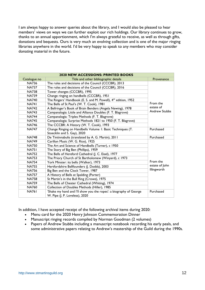I am always happy to answer queries about the library, and I would also be pleased to hear members' views on ways we can further exploit our rich holdings. Our library continues to grow, thanks to an annual apportionment, which I'm always grateful to receive, as well as through gifts, donations and bequests. Ours is very much an evolving collection and is one of the major ringing libraries anywhere in the world. I'd be very happy to speak to any members who may consider donating material in the future.

| <b>2020 NEW ACCESSIONS: PRINTED BOOKS</b> |                                                                            |                      |  |  |  |
|-------------------------------------------|----------------------------------------------------------------------------|----------------------|--|--|--|
| Catalogue no                              | Title and other bibliographic details                                      | Provenance           |  |  |  |
| <b>NA736</b>                              | The rules and decisions of the Council (CCCBR), 2013                       |                      |  |  |  |
| <b>NA737</b>                              | The rules and decisions of the Council (CCCBR), 2016                       |                      |  |  |  |
| <b>NA738</b>                              | Tower changes (CCCBR), 1995                                                |                      |  |  |  |
| <b>NA739</b>                              | Change ringing on handbells (CCCBR), 1951                                  |                      |  |  |  |
| <b>NA740</b>                              | The Ringers' Handbook (E. S. and M. Powell), 4 <sup>th</sup> edition, 1952 |                      |  |  |  |
| <b>NA741</b>                              | The Bells of St Paul's (W. T. Cook), 1981                                  | From the             |  |  |  |
| <b>NA742</b>                              | A Bellringer's Book of Brain Benders (Angela Newing), 1978                 | estate of            |  |  |  |
| <b>NA743</b>                              | Campanalogia: Little and Alliance Doubles (F. T. Blagrove)                 | <b>Andrew Stubbs</b> |  |  |  |
| <b>NA744</b>                              | Campanalogia: Triples Methods (F. T. Blagrove)                             |                      |  |  |  |
| <b>NA745</b>                              | Campanalogia: Surprise Methods 1821 to 1950 (F. T. Blagrove)               |                      |  |  |  |
| <b>NA746</b>                              | The CCCBR: A History (W. T. Cook), 1993                                    |                      |  |  |  |
| <b>NA747</b>                              | Change Ringing on Handbells Volume 1: Basic Techniques (T.                 | Purchased            |  |  |  |
|                                           | Stoecklin and S. Gay), 2020                                                |                      |  |  |  |
| <b>NA748</b>                              | De Tintinnabulis (translated by A. G. Martin), 2011                        | Purchased            |  |  |  |
| <b>NA749</b>                              | Carillon Music (W. G. Rice), 1925                                          |                      |  |  |  |
| <b>NA750</b>                              | The Art and Science of Handbells (Turner), c 1950                          |                      |  |  |  |
| <b>NA751</b>                              | The Story of Big Ben (Phillips), 1959                                      |                      |  |  |  |
| <b>NA752</b>                              | The Bells of Hereford Cathedral (J. C. Eisel), 1977                        |                      |  |  |  |
| <b>NA753</b>                              | The Priory Church of St Bartholomew (Winyard), c 1973                      |                      |  |  |  |
| <b>NA754</b>                              | York Minster: its bells (Walker), 1973                                     | From the             |  |  |  |
| <b>NA755</b>                              | Hertfordshire Bellfounders (J. Dodds), 2003                                | estate of John       |  |  |  |
| <b>NA756</b>                              | Big Ben and the Clock Tower, 1987                                          | Illingworth          |  |  |  |
| <b>NA757</b>                              | A History of Bells at Spalding (Porter)                                    |                      |  |  |  |
| <b>NA758</b>                              | St Martin's in the Bull Ring (Crowe), 1975                                 |                      |  |  |  |
| <b>NA759</b>                              | The Bells of Chester Cathedral (Whiting), 1974                             |                      |  |  |  |
| <b>NA760</b>                              | Collection of Doubles Methods (Hiller), 1985                               |                      |  |  |  |
| <b>NA761</b>                              | 'Shake my hand and I'll show you the ropes': a biography of George         | Purchased            |  |  |  |
|                                           | W. Pipe (J. P. Loveless), 2020                                             |                      |  |  |  |

In addition, I have accepted receipt of the following archival items during 2020:

- Menu card for the 2020 Henry Johnson Commemoration Dinner
- Manuscript ringing records compiled by Norman Goodman (2 volumes)
- Papers of Andrew Stubbs including a manuscript notebook recording his early peals, and some administrative papers relating to Andrew's mastership of the Guild during the 1990s.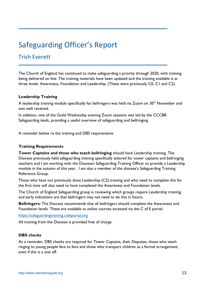# Safeguarding Officer's Report

## Trish Everett

The Church of England has continued to make safeguarding a priority through 2020, with training being delivered on line. The training materials have been updated and the training available is at three levels: Awareness, Foundation and Leadership, (These were previously C0, C1 and C2).

### **Leadership Training**

A leadership training module specifically for bellringers was held via Zoom on  $30<sup>th</sup>$  November and was well received.

In addition, one of the Guild Wednesday evening Zoom sessions was led by the CCCBR Safeguarding leads, providing a useful overview of safeguarding and bellringing.

A reminder below re the training and DBS requirements

## **Training Requirements**

**Tower Captains and those who teach bellringing** should have Leadership training. The Diocese previously held safeguarding training specifically tailored for tower captains and bellringing teachers and I am working with the Diocesan Safeguarding Training Officer to provide a Leadership module in the autumn of this year. I am also a member of the diocese's Safeguarding Training Reference Group.

Those who have not previously done Leadership (C2) training and who need to complete this for the first time will also need to have completed the Awareness and Foundation levels.

The Church of England Safeguarding group is reviewing which groups require Leadership training, and early indications are that bellringers may not need to do this in future.

**Bellringers:** The Diocese recommends that all bellringers should complete the Awareness and Foundation levels. These are available as online courses accessed via the C of E portal:

[https://safeguardingtraining.cofeportal.org](https://safeguardingtraining.cofeportal.org/)

All training from the Diocese is provided free of charge.

### **DBS checks**

As a reminder, DBS checks are required for Tower Captains, their Deputies, those who teach ringing to young people face to face and those who transport children as a formal arrangement, even if this is a one off.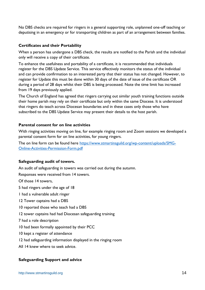No DBS checks are required for ringers in a general supporting role, unplanned one-off teaching or deputising in an emergency or for transporting children as part of an arrangement between families.

## **Certificates and their Portability**

When a person has undergone a DBS check, the results are notified to the Parish and the individual only will receive a copy of their certificate.

To enhance the usefulness and portability of a certificate, it is recommended that individuals register for the DBS Update Service. This service effectively monitors the status of the individual and can provide confirmation to an interested party that their status has not changed. However, to register for Update this must be done within 30 days of the date of issue of the certificate OR during a period of 28 days whilst their DBS is being processed. Note the time limit has increased from 19 days previously applied.

The Church of England has agreed that ringers carrying out similar youth training functions outside their home parish may rely on their certificate but only within the same Diocese. It is understood that ringers do teach across Diocesan boundaries and in these cases only those who have subscribed to the DBS Update Service may present their details to the host parish.

## **Parental consent for on line activities**

With ringing activities moving on line, for example ringing room and Zoom sessions we developed a parental consent form for on line activities, for young ringers.

The on line form can be found here [https://www.stmartinsguild.org/wp-content/uploads/SMG-](https://www.stmartinsguild.org/wp-content/uploads/SMG-Online-Activities-Permission-Form.pdf)[Online-Activities-Permission-Form.pdf](https://www.stmartinsguild.org/wp-content/uploads/SMG-Online-Activities-Permission-Form.pdf)

### **Safeguarding audit of towers.**

An audit of safeguarding in towers was carried out during the autumn.

Responses were received from 14 towers.

Of those 14 towers,

5 had ringers under the age of 18

1 had a vulnerable adult ringer

- 12 Tower captains had a DBS
- 10 reported those who teach had a DBS
- 12 tower captains had had Diocesan safeguarding training
- 7 had a role description
- 10 had been formally appointed by their PCC
- 10 kept a register of attendance
- 12 had safeguarding information displayed in the ringing room
- All 14 knew where to seek advice.

### **Safeguarding Support and advice**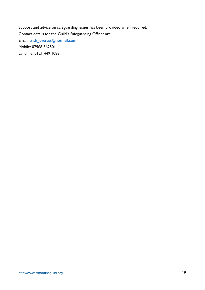Support and advice on safeguarding issues has been provided when required. Contact details for the Guild's Safeguarding Officer are: Email: [trish\\_everett@hotmail.com](mailto:trish_everett@hotmail.com) Mobile: 07968 362501

Landline: 0121 449 1088.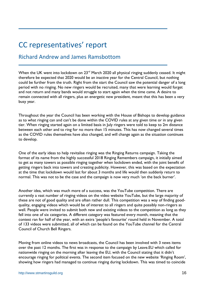# CC representatives' report

## Richard Andrew and James Ramsbottom

When the UK went into lockdown on 23<sup>rd</sup> March 2020 all physical ringing suddenly ceased. It might therefore be expected that 2020 would be an inactive year for the Central Council, but nothing could be further from the truth. Right from the start the Council saw the potential danger of a long period with no ringing. No new ringers would be recruited, many that were learning would forget and not return and many bands would struggle to start again when the time came. A desire to remain connected with all ringers, plus an energetic new president, meant that this has been a very busy year.

Throughout the year the Council has been working with the House of Bishops to develop guidance as to what ringing can and can't be done within the COVID rules at any given time or in any given tier. When ringing started again on a limited basis in July ringers were told to keep to 2m distance between each other and to ring for no more than 15 minutes. This has now changed several times as the COVID rules themselves have also changed, and will change again as the situation continues to develop.

One of the early ideas to help revitalise ringing was the Ringing Returns campaign. Taking the format of its name from the highly successful 2018 Ringing Remembers campaign, it initially aimed to get as many towers as possible ringing together when lockdown ended, with the joint benefit of getting ringers back into towers and creating publicity. However, this was based on the expectation at the time that lockdown would last for about 3 months and life would then suddenly return to normal. This was not to be the case and the campaign is now very much 'on the back burner'.

Another idea, which was much more of a success, was the YouTube competition. There are currently a vast number of ringing videos on the video website YouTube, but the large majority of these are not of good quality and are often rather dull. This competition was a way of finding goodquality, engaging videos which would be of interest to all ringers and quite possibly non-ringers as well. People were invited to submit both new and existing videos to the competition as long as they fell into one of six categories. A different category was featured every month, meaning that the contest ran for half of the year, with an extra 'people's favourite' round held in November. A total of 133 videos were submitted, all of which can be found on the YouTube channel for the Central Council of Church Bell Ringers.

Moving from online videos to news broadcasts, the Council has been involved with 3 news items over the past 12 months. The first was in response to the campaign by Leave.EU which called for nationwide ringing on the morning after leaving the EU, with the Council stating that it didn't encourage ringing for political events. The second item focused on the new website 'Ringing Room', showing how ringers had managed to continue ringing during lockdown. This was timed to coincide